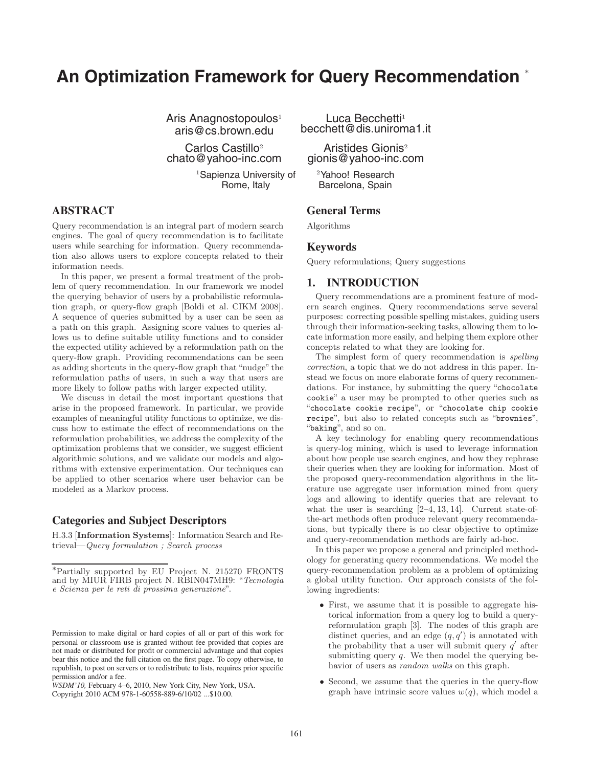# **An Optimization Framework for Query Recommendation** <sup>∗</sup>

Aris Anagnostopoulos<sup>1</sup> aris@cs.brown.edu

 $C$ arlos  $C$ astillo<sup>2</sup> chato@yahoo-inc.com

 $1$ Sapienza University of  $2$ Yahoo! Research

## **ABSTRACT**

Query recommendation is an integral part of modern search engines. The goal of query recommendation is to facilitate users while searching for information. Query recommendation also allows users to explore concepts related to their information needs.

In this paper, we present a formal treatment of the problem of query recommendation. In our framework we model the querying behavior of users by a probabilistic reformulation graph, or query-flow graph [Boldi et al. CIKM 2008]. A sequence of queries submitted by a user can be seen as a path on this graph. Assigning score values to queries allows us to define suitable utility functions and to consider the expected utility achieved by a reformulation path on the query-flow graph. Providing recommendations can be seen as adding shortcuts in the query-flow graph that "nudge" the reformulation paths of users, in such a way that users are more likely to follow paths with larger expected utility.

We discuss in detail the most important questions that arise in the proposed framework. In particular, we provide examples of meaningful utility functions to optimize, we discuss how to estimate the effect of recommendations on the reformulation probabilities, we address the complexity of the optimization problems that we consider, we suggest efficient algorithmic solutions, and we validate our models and algorithms with extensive experimentation. Our techniques can be applied to other scenarios where user behavior can be modeled as a Markov process.

## **Categories and Subject Descriptors**

H.3.3 [**Information Systems**]: Information Search and Retrieval—*Query formulation ; Search process*

*WSDM'10,* February 4–6, 2010, New York City, New York, USA. Copyright 2010 ACM 978-1-60558-889-6/10/02 ...\$10.00.

Luca Becchetti<sup>1</sup> becchett@dis.uniroma1.it

Aristides Gionis<sup>2</sup> gionis@yahoo-inc.com

Rome, Italy **Barcelona**, Spain

# **General Terms**

Algorithms

#### **Keywords**

Query reformulations; Query suggestions

## **1. INTRODUCTION**

Query recommendations are a prominent feature of modern search engines. Query recommendations serve several purposes: correcting possible spelling mistakes, guiding users through their information-seeking tasks, allowing them to locate information more easily, and helping them explore other concepts related to what they are looking for.

The simplest form of query recommendation is *spelling correction*, a topic that we do not address in this paper. Instead we focus on more elaborate forms of query recommendations. For instance, by submitting the query "chocolate cookie" a user may be prompted to other queries such as "chocolate cookie recipe", or "chocolate chip cookie recipe", but also to related concepts such as "brownies", "baking", and so on.

A key technology for enabling query recommendations is query-log mining, which is used to leverage information about how people use search engines, and how they rephrase their queries when they are looking for information. Most of the proposed query-recommendation algorithms in the literature use aggregate user information mined from query logs and allowing to identify queries that are relevant to what the user is searching  $[2-4, 13, 14]$ . Current state-ofthe-art methods often produce relevant query recommendations, but typically there is no clear objective to optimize and query-recommendation methods are fairly ad-hoc.

In this paper we propose a general and principled methodology for generating query recommendations. We model the query-recommendation problem as a problem of optimizing a global utility function. Our approach consists of the following ingredients:

- First, we assume that it is possible to aggregate historical information from a query log to build a queryreformulation graph [3]. The nodes of this graph are distinct queries, and an edge  $(q, q')$  is annotated with the probability that a user will submit query  $q'$  after submitting query  $q$ . We then model the querying behavior of users as *random walks* on this graph.
- Second, we assume that the queries in the query-flow graph have intrinsic score values  $w(q)$ , which model a

<sup>∗</sup>Partially supported by EU Project N. 215270 FRONTS and by MIUR FIRB project N. RBIN047MH9: "*Tecnologia e Scienza per le reti di prossima generazione*".

Permission to make digital or hard copies of all or part of this work for personal or classroom use is granted without fee provided that copies are not made or distributed for profit or commercial advantage and that copies bear this notice and the full citation on the first page. To copy otherwise, to republish, to post on servers or to redistribute to lists, requires prior specific permission and/or a fee.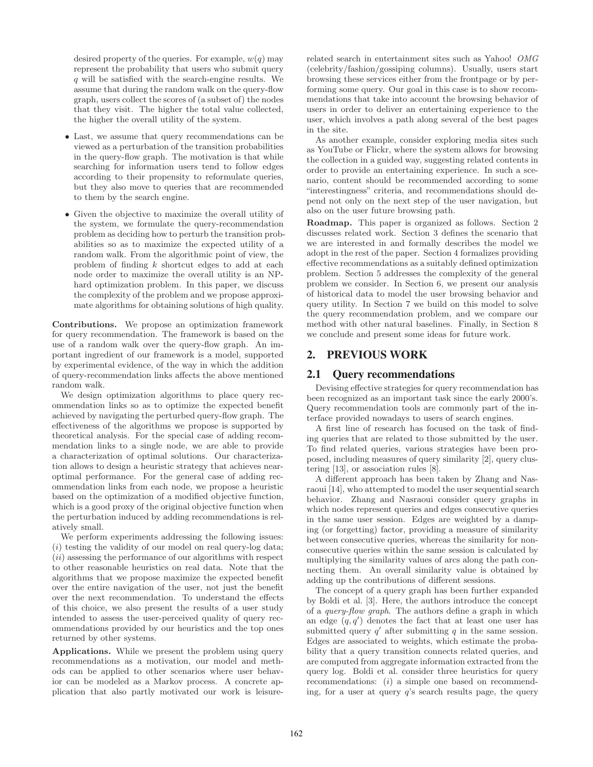desired property of the queries. For example,  $w(q)$  may represent the probability that users who submit query q will be satisfied with the search-engine results. We assume that during the random walk on the query-flow graph, users collect the scores of (a subset of) the nodes that they visit. The higher the total value collected, the higher the overall utility of the system.

- Last, we assume that query recommendations can be viewed as a perturbation of the transition probabilities in the query-flow graph. The motivation is that while searching for information users tend to follow edges according to their propensity to reformulate queries, but they also move to queries that are recommended to them by the search engine.
- Given the objective to maximize the overall utility of the system, we formulate the query-recommendation problem as deciding how to perturb the transition probabilities so as to maximize the expected utility of a random walk. From the algorithmic point of view, the problem of finding k shortcut edges to add at each node order to maximize the overall utility is an NPhard optimization problem. In this paper, we discuss the complexity of the problem and we propose approximate algorithms for obtaining solutions of high quality.

**Contributions.** We propose an optimization framework for query recommendation. The framework is based on the use of a random walk over the query-flow graph. An important ingredient of our framework is a model, supported by experimental evidence, of the way in which the addition of query-recommendation links affects the above mentioned random walk.

We design optimization algorithms to place query recommendation links so as to optimize the expected benefit achieved by navigating the perturbed query-flow graph. The effectiveness of the algorithms we propose is supported by theoretical analysis. For the special case of adding recommendation links to a single node, we are able to provide a characterization of optimal solutions. Our characterization allows to design a heuristic strategy that achieves nearoptimal performance. For the general case of adding recommendation links from each node, we propose a heuristic based on the optimization of a modified objective function, which is a good proxy of the original objective function when the perturbation induced by adding recommendations is relatively small.

We perform experiments addressing the following issues:  $(i)$  testing the validity of our model on real query-log data;  $(ii)$  assessing the performance of our algorithms with respect to other reasonable heuristics on real data. Note that the algorithms that we propose maximize the expected benefit over the entire navigation of the user, not just the benefit over the next recommendation. To understand the effects of this choice, we also present the results of a user study intended to assess the user-perceived quality of query recommendations provided by our heuristics and the top ones returned by other systems.

**Applications.** While we present the problem using query recommendations as a motivation, our model and methods can be applied to other scenarios where user behavior can be modeled as a Markov process. A concrete application that also partly motivated our work is leisurerelated search in entertainment sites such as Yahoo! *OMG* (celebrity/fashion/gossiping columns). Usually, users start browsing these services either from the frontpage or by performing some query. Our goal in this case is to show recommendations that take into account the browsing behavior of users in order to deliver an entertaining experience to the user, which involves a path along several of the best pages in the site.

As another example, consider exploring media sites such as YouTube or Flickr, where the system allows for browsing the collection in a guided way, suggesting related contents in order to provide an entertaining experience. In such a scenario, content should be recommended according to some "interestingness" criteria, and recommendations should depend not only on the next step of the user navigation, but also on the user future browsing path.

**Roadmap.** This paper is organized as follows. Section 2 discusses related work. Section 3 defines the scenario that we are interested in and formally describes the model we adopt in the rest of the paper. Section 4 formalizes providing effective recommendations as a suitably defined optimization problem. Section 5 addresses the complexity of the general problem we consider. In Section 6, we present our analysis of historical data to model the user browsing behavior and query utility. In Section 7 we build on this model to solve the query recommendation problem, and we compare our method with other natural baselines. Finally, in Section 8 we conclude and present some ideas for future work.

# **2. PREVIOUS WORK**

# **2.1 Query recommendations**

Devising effective strategies for query recommendation has been recognized as an important task since the early 2000's. Query recommendation tools are commonly part of the interface provided nowadays to users of search engines.

A first line of research has focused on the task of finding queries that are related to those submitted by the user. To find related queries, various strategies have been proposed, including measures of query similarity [2], query clustering [13], or association rules [8].

A different approach has been taken by Zhang and Nasraoui [14], who attempted to model the user sequential search behavior. Zhang and Nasraoui consider query graphs in which nodes represent queries and edges consecutive queries in the same user session. Edges are weighted by a damping (or forgetting) factor, providing a measure of similarity between consecutive queries, whereas the similarity for nonconsecutive queries within the same session is calculated by multiplying the similarity values of arcs along the path connecting them. An overall similarity value is obtained by adding up the contributions of different sessions.

The concept of a query graph has been further expanded by Boldi et al. [3]. Here, the authors introduce the concept of a *query-flow graph*. The authors define a graph in which an edge  $(q, q')$  denotes the fact that at least one user has submitted query  $q'$  after submitting q in the same session. Edges are associated to weights, which estimate the probability that a query transition connects related queries, and are computed from aggregate information extracted from the query log. Boldi et al. consider three heuristics for query recommendations: (i) a simple one based on recommending, for a user at query  $q$ 's search results page, the query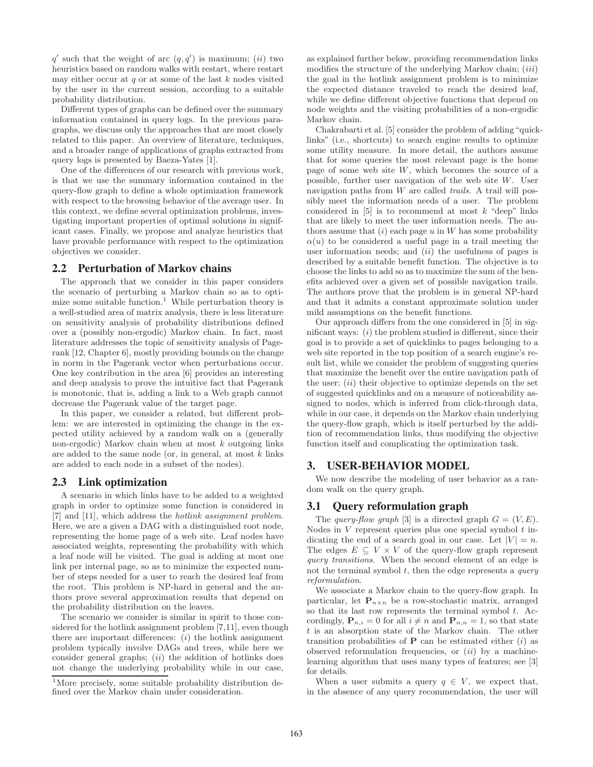q' such that the weight of arc  $(q, q')$  is maximum; (ii) two heuristics based on random walks with restart, where restart may either occur at  $q$  or at some of the last  $k$  nodes visited by the user in the current session, according to a suitable probability distribution.

Different types of graphs can be defined over the summary information contained in query logs. In the previous paragraphs, we discuss only the approaches that are most closely related to this paper. An overview of literature, techniques, and a broader range of applications of graphs extracted from query logs is presented by Baeza-Yates [1].

One of the differences of our research with previous work, is that we use the summary information contained in the query-flow graph to define a whole optimization framework with respect to the browsing behavior of the average user. In this context, we define several optimization problems, investigating important properties of optimal solutions in significant cases. Finally, we propose and analyze heuristics that have provable performance with respect to the optimization objectives we consider.

#### **2.2 Perturbation of Markov chains**

The approach that we consider in this paper considers the scenario of perturbing a Markov chain so as to optimize some suitable function.<sup>1</sup> While perturbation theory is a well-studied area of matrix analysis, there is less literature on sensitivity analysis of probability distributions defined over a (possibly non-ergodic) Markov chain. In fact, most literature addresses the topic of sensitivity analysis of Pagerank [12, Chapter 6], mostly providing bounds on the change in norm in the Pagerank vector when perturbations occur. One key contribution in the area [6] provides an interesting and deep analysis to prove the intuitive fact that Pagerank is monotonic, that is, adding a link to a Web graph cannot decrease the Pagerank value of the target page.

In this paper, we consider a related, but different problem: we are interested in optimizing the change in the expected utility achieved by a random walk on a (generally non-ergodic) Markov chain when at most  $k$  outgoing links are added to the same node (or, in general, at most k links are added to each node in a subset of the nodes).

#### **2.3 Link optimization**

A scenario in which links have to be added to a weighted graph in order to optimize some function is considered in [7] and [11], which address the *hotlink assignment problem*. Here, we are a given a DAG with a distinguished root node, representing the home page of a web site. Leaf nodes have associated weights, representing the probability with which a leaf node will be visited. The goal is adding at most one link per internal page, so as to minimize the expected number of steps needed for a user to reach the desired leaf from the root. This problem is NP-hard in general and the authors prove several approximation results that depend on the probability distribution on the leaves.

The scenario we consider is similar in spirit to those considered for the hotlink assignment problem [7,11], even though there are important differences:  $(i)$  the hotlink assignment problem typically involve DAGs and trees, while here we consider general graphs;  $(ii)$  the addition of hotlinks does not change the underlying probability while in our case,

as explained further below, providing recommendation links modifies the structure of the underlying Markov chain; *(iii)* the goal in the hotlink assignment problem is to minimize the expected distance traveled to reach the desired leaf, while we define different objective functions that depend on node weights and the visiting probabilities of a non-ergodic Markov chain.

Chakrabarti et al. [5] consider the problem of adding"quicklinks" (i.e., shortcuts) to search engine results to optimize some utility measure. In more detail, the authors assume that for some queries the most relevant page is the home page of some web site W, which becomes the source of a possible, further user navigation of the web site W. User navigation paths from W are called *trails*. A trail will possibly meet the information needs of a user. The problem considered in  $[5]$  is to recommend at most k "deep" links that are likely to meet the user information needs. The authors assume that  $(i)$  each page  $u$  in  $W$  has some probability  $\alpha(u)$  to be considered a useful page in a trail meeting the user information needs; and  $(ii)$  the usefulness of pages is described by a suitable benefit function. The objective is to choose the links to add so as to maximize the sum of the benefits achieved over a given set of possible navigation trails. The authors prove that the problem is in general NP-hard and that it admits a constant approximate solution under mild assumptions on the benefit functions.

Our approach differs from the one considered in [5] in significant ways:  $(i)$  the problem studied is different, since their goal is to provide a set of quicklinks to pages belonging to a web site reported in the top position of a search engine's result list, while we consider the problem of suggesting queries that maximize the benefit over the entire navigation path of the user;  $(ii)$  their objective to optimize depends on the set of suggested quicklinks and on a measure of noticeability assigned to nodes, which is inferred from click-through data, while in our case, it depends on the Markov chain underlying the query-flow graph, which is itself perturbed by the addition of recommendation links, thus modifying the objective function itself and complicating the optimization task.

#### **3. USER-BEHAVIOR MODEL**

We now describe the modeling of user behavior as a random walk on the query graph.

## **3.1 Query reformulation graph**

The *query-flow graph* [3] is a directed graph  $G = (V, E)$ . Nodes in  $V$  represent queries plus one special symbol  $t$  indicating the end of a search goal in our case. Let  $|V| = n$ . The edges  $E \subseteq V \times V$  of the query-flow graph represent *query transitions*. When the second element of an edge is not the terminal symbol t, then the edge represents a *query reformulation*.

We associate a Markov chain to the query-flow graph. In particular, let  $\mathbf{P}_{n \times n}$  be a row-stochastic matrix, arranged so that its last row represents the terminal symbol  $t$ . Accordingly,  $\mathbf{P}_{n,i} = 0$  for all  $i \neq n$  and  $\mathbf{P}_{n,n} = 1$ , so that state t is an absorption state of the Markov chain. The other transition probabilities of  $P$  can be estimated either  $(i)$  as observed reformulation frequencies, or  $(ii)$  by a machinelearning algorithm that uses many types of features; see [3] for details.

When a user submits a query  $q \in V$ , we expect that, in the absence of any query recommendation, the user will

<sup>&</sup>lt;sup>1</sup>More precisely, some suitable probability distribution defined over the Markov chain under consideration.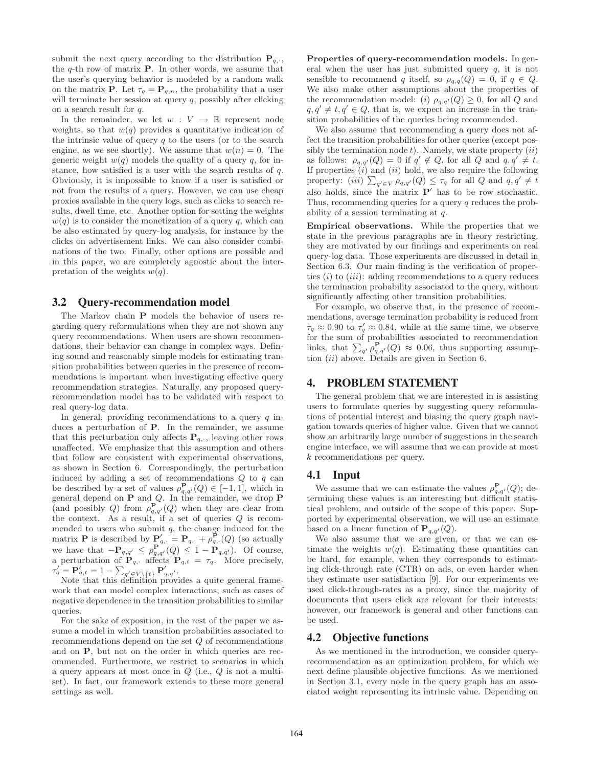submit the next query according to the distribution  $P_{q,\cdot}$ , the  $q$ -th row of matrix **P**. In other words, we assume that the user's querying behavior is modeled by a random walk on the matrix **P**. Let  $\tau_q = \mathbf{P}_{q,n}$ , the probability that a user will terminate her session at query  $q$ , possibly after clicking on a search result for q.

In the remainder, we let  $w: V \to \mathbb{R}$  represent node weights, so that  $w(q)$  provides a quantitative indication of the intrinsic value of query  $q$  to the users (or to the search engine, as we see shortly). We assume that  $w(n) = 0$ . The generic weight  $w(q)$  models the quality of a query q, for instance, how satisfied is a user with the search results of  $q$ . Obviously, it is impossible to know if a user is satisfied or not from the results of a query. However, we can use cheap proxies available in the query logs, such as clicks to search results, dwell time, etc. Another option for setting the weights  $w(q)$  is to consider the monetization of a query q, which can be also estimated by query-log analysis, for instance by the clicks on advertisement links. We can also consider combinations of the two. Finally, other options are possible and in this paper, we are completely agnostic about the interpretation of the weights  $w(q)$ .

### **3.2 Query-recommendation model**

The Markov chain **P** models the behavior of users regarding query reformulations when they are not shown any query recommendations. When users are shown recommendations, their behavior can change in complex ways. Defining sound and reasonably simple models for estimating transition probabilities between queries in the presence of recommendations is important when investigating effective query recommendation strategies. Naturally, any proposed queryrecommendation model has to be validated with respect to real query-log data.

In general, providing recommendations to a query  $q$  induces a perturbation of **P**. In the remainder, we assume that this perturbation only affects  $P_{q,\cdot}$ , leaving other rows unaffected. We emphasize that this assumption and others that follow are consistent with experimental observations, as shown in Section 6. Correspondingly, the perturbation induced by adding a set of recommendations  $Q$  to  $q$  can be described by a set of values  $\rho_{q,q'}^{\mathbf{P}}(Q) \in [-1,1]$ , which in general depend on **P** and Q. In the remainder, we drop **P** (and possibly  $Q$ ) from  $\rho_{q,q'}^{\mathbf{P}}(Q)$  when they are clear from the context. As a result, if a set of queries  $Q$  is recommended to users who submit  $q$ , the change induced for the matrix **P** is described by  $\mathbf{P}'_{q,\cdot} = \mathbf{P}_{q,\cdot} + \rho_{q,\cdot}^{\mathbf{P}}(Q)$  (so actually we have that  $-\mathbf{P}_{q,q'} \leq \rho_{q,q'}^{\mathbf{P}}(Q) \leq 1 - \mathbf{P}_{q,q'}).$  Of course, a perturbation of  $P_{q}$ , affects  $P_{q,t} = \tau_q$ . More precisely,  $\tau'_q = \mathbf{P}_{q,t}' = 1 - \sum_{q' \in V \setminus \{t\}} \mathbf{P}_{q,q'}'.$ 

Note that this definition provides a quite general framework that can model complex interactions, such as cases of negative dependence in the transition probabilities to similar queries.

For the sake of exposition, in the rest of the paper we assume a model in which transition probabilities associated to recommendations depend on the set Q of recommendations and on **P**, but not on the order in which queries are recommended. Furthermore, we restrict to scenarios in which a query appears at most once in  $Q$  (i.e.,  $Q$  is not a multiset). In fact, our framework extends to these more general settings as well.

**Properties of query-recommendation models.** In general when the user has just submitted query  $q$ , it is not sensible to recommend q itself, so  $\rho_{q,q}(Q) = 0$ , if  $q \in Q$ . We also make other assumptions about the properties of the recommendation model: (i)  $\rho_{q,q'}(Q) \geq 0$ , for all Q and  $q, q' \neq t, q' \in Q$ , that is, we expect an increase in the transition probabilities of the queries being recommended.

We also assume that recommending a query does not affect the transition probabilities for other queries (except possibly the termination node  $t$ ). Namely, we state property  $(ii)$ as follows:  $\rho_{q,q'}(Q) = 0$  if  $q' \notin Q$ , for all  $Q$  and  $q, q' \neq t$ . If properties  $(i)$  and  $(ii)$  hold, we also require the following property: (*iii*)  $\sum_{q' \in V} \rho_{q,q'}(Q) \leq \tau_q$  for all Q and  $q, q' \neq t$ also holds, since the matrix  $P'$  has to be row stochastic. Thus, recommending queries for a query  $q$  reduces the probability of a session terminating at q.

**Empirical observations.** While the properties that we state in the previous paragraphs are in theory restricting, they are motivated by our findings and experiments on real query-log data. Those experiments are discussed in detail in Section 6.3. Our main finding is the verification of properties  $(i)$  to  $(iii)$ : adding recommendations to a query reduces the termination probability associated to the query, without significantly affecting other transition probabilities.

For example, we observe that, in the presence of recommendations, average termination probability is reduced from  $\tau_q \approx 0.90$  to  $\tau'_q \approx 0.84$ , while at the same time, we observe for the sum of probabilities associated to recommendation links, that  $\sum_{q'} \rho_{q,q'}^{\mathbf{P}}(Q) \approx 0.06$ , thus supporting assumption  $(ii)$  above. Details are given in Section 6.

# **4. PROBLEM STATEMENT**

The general problem that we are interested in is assisting users to formulate queries by suggesting query reformulations of potential interest and biasing the query graph navigation towards queries of higher value. Given that we cannot show an arbitrarily large number of suggestions in the search engine interface, we will assume that we can provide at most k recommendations per query.

#### **4.1 Input**

We assume that we can estimate the values  $\rho_{q,q'}^{\mathbf{P}}(Q)$ ; determining these values is an interesting but difficult statistical problem, and outside of the scope of this paper. Supported by experimental observation, we will use an estimate based on a linear function of  $\mathbf{P}_{q,q'}(Q)$ .

We also assume that we are given, or that we can estimate the weights  $w(q)$ . Estimating these quantities can be hard, for example, when they corresponds to estimating click-through rate (CTR) on ads, or even harder when they estimate user satisfaction [9]. For our experiments we used click-through-rates as a proxy, since the majority of documents that users click are relevant for their interests; however, our framework is general and other functions can be used.

#### **4.2 Objective functions**

As we mentioned in the introduction, we consider queryrecommendation as an optimization problem, for which we next define plausible objective functions. As we mentioned in Section 3.1, every node in the query graph has an associated weight representing its intrinsic value. Depending on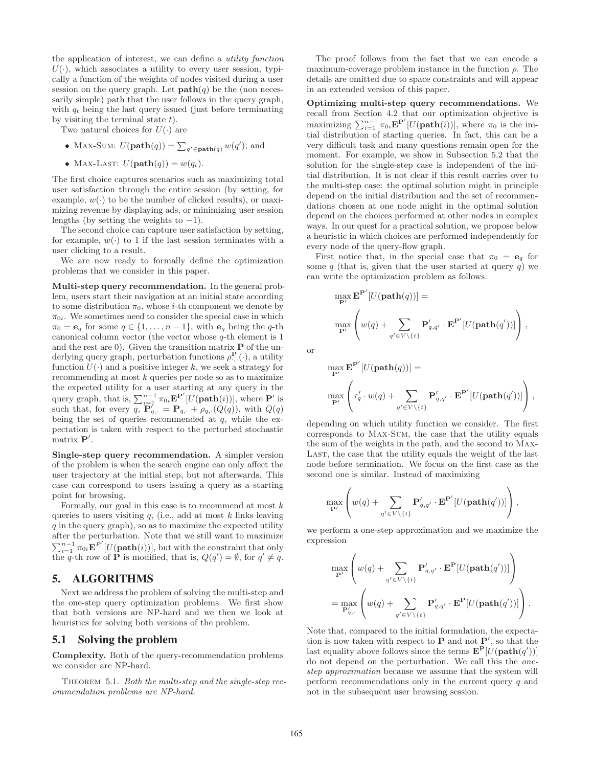the application of interest, we can define a *utility function*  $U(\cdot)$ , which associates a utility to every user session, typically a function of the weights of nodes visited during a user session on the query graph. Let  $\text{path}(q)$  be the (non necessarily simple) path that the user follows in the query graph, with  $q_t$  being the last query issued (just before terminating by visiting the terminal state  $t$ ).

Two natural choices for  $U(\cdot)$  are

- MAX-SUM:  $U(\textbf{path}(q)) = \sum_{q' \in \textbf{path}(q)} w(q')$ ; and
- MAX-LAST:  $U(\textbf{path}(q)) = w(q_t)$ .

The first choice captures scenarios such as maximizing total user satisfaction through the entire session (by setting, for example,  $w(\cdot)$  to be the number of clicked results), or maximizing revenue by displaying ads, or minimizing user session lengths (by setting the weights to  $-1$ ).

The second choice can capture user satisfaction by setting, for example,  $w(\cdot)$  to 1 if the last session terminates with a user clicking to a result.

We are now ready to formally define the optimization problems that we consider in this paper.

**Multi-step query recommendation.** In the general problem, users start their navigation at an initial state according to some distribution  $\pi_0$ , whose *i*-th component we denote by  $\pi_{0i}$ . We sometimes need to consider the special case in which  $\pi_0 = \mathbf{e}_q$  for some  $q \in \{1, \ldots, n-1\}$ , with  $\mathbf{e}_q$  being the q-th canonical column vector (the vector whose q-th element is 1 and the rest are 0). Given the transition matrix **P** of the underlying query graph, perturbation functions  $\rho_{\cdot,\cdot}^{\mathbf{P}}(\cdot)$ , a utility function  $U(\cdot)$  and a positive integer k, we seek a strategy for recommending at most  $k$  queries per node so as to maximize the expected utility for a user starting at any query in the query graph, that is,  $\sum_{i=1}^{n-1} \pi_{0i} \mathbf{E}^{\mathbf{P}'}[U(\mathbf{path}(i))],$  where  $\mathbf{P}'$  is such that, for every  $q, \mathbf{P}_{q,\cdot}^{\prime} = \mathbf{P}_{q,\cdot} + \rho_{q,\cdot}(Q(q)),$  with  $Q(q)$ being the set of queries recommended at  $q$ , while the expectation is taken with respect to the perturbed stochastic matrix **P'**.

**Single-step query recommendation.** A simpler version of the problem is when the search engine can only affect the user trajectory at the initial step, but not afterwards. This case can correspond to users issuing a query as a starting point for browsing.

Formally, our goal in this case is to recommend at most  $k$ queries to users visiting  $q$ , (i.e., add at most  $k$  links leaving  $q$  in the query graph), so as to maximize the expected utility after the perturbation. Note that we still want to maximize  $\sum_{i=1}^{n-1} \pi_{0i} \mathbf{E}^{P'}[U(\mathbf{path}(i))],$  but with the constraint that only the q-th row of **P** is modified, that is,  $Q(q') = \emptyset$ , for  $q' \neq q$ .

## **5. ALGORITHMS**

Next we address the problem of solving the multi-step and the one-step query optimization problems. We first show that both versions are NP-hard and we then we look at heuristics for solving both versions of the problem.

## **5.1 Solving the problem**

**Complexity.** Both of the query-recommendation problems we consider are NP-hard.

THEOREM 5.1. *Both the multi-step and the single-step recommendation problems are NP-hard.*

The proof follows from the fact that we can encode a maximum-coverage problem instance in the function  $\rho$ . The details are omitted due to space constraints and will appear in an extended version of this paper.

**Optimizing multi-step query recommendations.** We recall from Section 4.2 that our optimization objective is maximizing  $\sum_{i=1}^{n-1} \pi_{0i} \mathbf{E}^{\mathbf{P}'}[U(\mathbf{path}(i))],$  where  $\pi_0$  is the initial distribution of starting queries. In fact, this can be a very difficult task and many questions remain open for the moment. For example, we show in Subsection 5.2 that the solution for the single-step case is independent of the initial distribution. It is not clear if this result carries over to the multi-step case: the optimal solution might in principle depend on the initial distribution and the set of recommendations chosen at one node might in the optimal solution depend on the choices performed at other nodes in complex ways. In our quest for a practical solution, we propose below a heuristic in which choices are performed independently for every node of the query-flow graph.

First notice that, in the special case that  $\pi_0 = e_q$  for some  $q$  (that is, given that the user started at query  $q$ ) we can write the optimization problem as follows:

$$
\max_{\mathbf{P}'} \mathbf{E}^{\mathbf{P}'}[U(\mathbf{path}(q))] =
$$
  

$$
\max_{\mathbf{P}'} \left( w(q) + \sum_{q' \in V \setminus \{t\}} \mathbf{P}'_{q,q'} \cdot \mathbf{E}^{\mathbf{P}'}[U(\mathbf{path}(q'))] \right),
$$

or

$$
\begin{aligned} & \max_{\mathbf{P}'} \mathbf{E}^{\mathbf{P}'}[U(\mathbf{path}(q))] = \\ & \max_{\mathbf{P}'} \left( \tau_q' \cdot w(q) + \sum_{q' \in V \backslash \{t\}} \mathbf{P}_{q,q'}' \cdot \mathbf{E}^{\mathbf{P}'}[U(\mathbf{path}(q'))] \right), \end{aligned}
$$

depending on which utility function we consider. The first corresponds to Max-Sum, the case that the utility equals the sum of the weights in the path, and the second to Max-LAST, the case that the utility equals the weight of the last node before termination. We focus on the first case as the second one is similar. Instead of maximizing

$$
\max_{\mathbf{P}'} \left( w(q) + \sum_{q' \in V \setminus \{t\}} \mathbf{P}'_{q,q'} \cdot \mathbf{E}^{\mathbf{P}'}[U(\mathbf{path}(q'))] \right),\,
$$

we perform a one-step approximation and we maximize the expression

$$
\max_{\mathbf{P}'} \left( w(q) + \sum_{q' \in V \setminus \{t\}} \mathbf{P}'_{q,q'} \cdot \mathbf{E}^{\mathbf{P}}[U(\mathbf{path}(q'))] \right)
$$
  
= 
$$
\max_{\mathbf{P}'_{q,\cdot}} \left( w(q) + \sum_{q' \in V \setminus \{t\}} \mathbf{P}'_{q,q'} \cdot \mathbf{E}^{\mathbf{P}}[U(\mathbf{path}(q'))] \right).
$$

Note that, compared to the initial formulation, the expectation is now taken with respect to  $P$  and not  $P'$ , so that the last equality above follows since the terms  $\mathbf{E}^{\mathbf{P}}[U(\mathbf{path}(q'))]$ do not depend on the perturbation. We call this the *onestep approximation* because we assume that the system will perform recommendations only in the current query  $q$  and not in the subsequent user browsing session.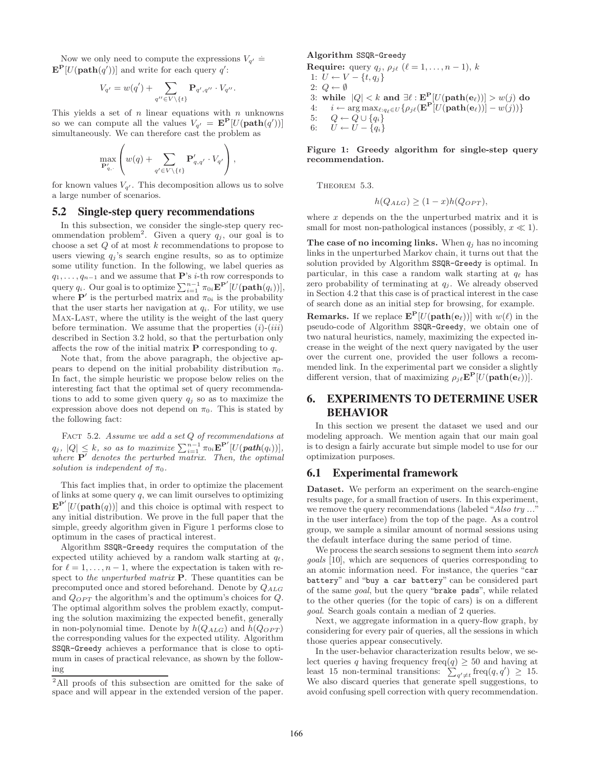Now we only need to compute the expressions  $V_{q'} \doteq$  $\mathbf{E}^{\mathbf{P}}[U(\mathbf{path}(q'))]$  and write for each query q':

$$
V_{q'} = w(q') + \sum_{q'' \in V \setminus \{t\}} \mathbf{P}_{q',q''} \cdot V_{q''}.
$$

This yields a set of  $n$  linear equations with  $n$  unknowns so we can compute all the values  $V_{q'} = \mathbf{E}^{\mathbf{P}}[U(\mathbf{path}(q'))]$ simultaneously. We can therefore cast the problem as

$$
\max_{\mathbf{P}_{q,\cdot}'} \left( w(q) + \sum_{q' \in V \setminus \{t\}} \mathbf{P}_{q,q'}' \cdot V_{q'} \right),
$$

for known values  $V_{q'}$ . This decomposition allows us to solve a large number of scenarios.

#### **5.2 Single-step query recommendations**

In this subsection, we consider the single-step query recommendation problem<sup>2</sup>. Given a query  $q_j$ , our goal is to choose a set  $Q$  of at most  $k$  recommendations to propose to users viewing  $q_j$ 's search engine results, so as to optimize some utility function. In the following, we label queries as  $q_1, \ldots, q_{n-1}$  and we assume that **P**'s *i*-th row corresponds to query  $q_i$ . Our goal is to optimize  $\sum_{i=1}^{n-1} \pi_{0i} \mathbf{E}^{\mathbf{P}'}[U(\mathbf{path}(q_i))],$ where **P**<sup> $\prime$ </sup> is the perturbed matrix and  $\pi_{0i}$  is the probability that the user starts her navigation at  $q_i$ . For utility, we use Max-Last, where the utility is the weight of the last query before termination. We assume that the properties  $(i)-(iii)$ described in Section 3.2 hold, so that the perturbation only affects the row of the initial matrix **P** corresponding to q.

Note that, from the above paragraph, the objective appears to depend on the initial probability distribution  $\pi_0$ . In fact, the simple heuristic we propose below relies on the interesting fact that the optimal set of query recommendations to add to some given query  $q_i$  so as to maximize the expression above does not depend on  $\pi_0$ . This is stated by the following fact:

Fact 5.2. *Assume we add a set* Q *of recommendations at*  $q_j$ ,  $|Q| \leq k$ , so as to maximize  $\sum_{i=1}^{n-1} \pi_{0i} \mathbf{E}^{\mathbf{P}'}[U(\mathbf{path}(q_i))],$ *where* **P**- *denotes the perturbed matrix. Then, the optimal solution is independent of*  $\pi_0$ *.* 

This fact implies that, in order to optimize the placement of links at some query  $q$ , we can limit ourselves to optimizing  $\mathbf{E}^{\mathbf{P}'}[U(\mathbf{path}(q))]$  and this choice is optimal with respect to any initial distribution. We prove in the full paper that the simple, greedy algorithm given in Figure 1 performs close to optimum in the cases of practical interest.

Algorithm SSQR-Greedy requires the computation of the expected utility achieved by a random walk starting at  $q_{\ell}$ , for  $\ell = 1, \ldots, n-1$ , where the expectation is taken with respect to *the unperturbed matrix* **P**. These quantities can be precomputed once and stored beforehand. Denote by  $Q_{ALG}$ and  $Q_{OPT}$  the algorithm's and the optimum's choices for Q. The optimal algorithm solves the problem exactly, computing the solution maximizing the expected benefit, generally in non-polynomial time. Denote by  $h(Q_{ALG})$  and  $h(Q_{OPT})$ the corresponding values for the expected utility. Algorithm SSQR-Greedy achieves a performance that is close to optimum in cases of practical relevance, as shown by the following

#### **Algorithm** SSQR-Greedy

**Require:** query  $q_j$ ,  $\rho_{j\ell}$   $(\ell = 1, \ldots, n-1)$ , k 1:  $U \leftarrow V - \{t, q_j\}$ 2:  $Q \leftarrow \emptyset$  $3:$  while  $|Q| < k$  and  $\exists \ell : \mathbf{E}^{\mathbf{P}}[U(\mathbf{path}(\mathbf{e}_{\ell}))] > w(j)$  do 4:  $i \leftarrow \arg \max_{\ell: q_{\ell} \in U} \{ \rho_{j\ell}(\mathbf{E}^{\mathbf{P}}[U(\mathbf{path}(\mathbf{e}_{\ell}))]-w(j)) \}$ 5:  $Q \leftarrow Q \cup \{q_i\}$ 6:  $U \leftarrow U - \{q_i\}$ 

**Figure 1: Greedy algorithm for single-step query recommendation.**

THEOREM 5.3.

$$
h(Q_{ALG}) \ge (1-x)h(Q_{OPT}),
$$

where  $x$  depends on the the unperturbed matrix and it is small for most non-pathological instances (possibly,  $x \ll 1$ ).

**The case of no incoming links.** When  $q_i$  has no incoming links in the unperturbed Markov chain, it turns out that the solution provided by Algorithm SSQR-Greedy is optimal. In particular, in this case a random walk starting at  $q_{\ell}$  has zero probability of terminating at  $q_i$ . We already observed in Section 4.2 that this case is of practical interest in the case of search done as an initial step for browsing, for example.

**Remarks.** If we replace  $\mathbf{E}^{\mathbf{P}}[U(\mathbf{path}(\mathbf{e}_{\ell}))]$  with  $w(\ell)$  in the pseudo-code of Algorithm SSQR-Greedy, we obtain one of two natural heuristics, namely, maximizing the expected increase in the weight of the next query navigated by the user over the current one, provided the user follows a recommended link. In the experimental part we consider a slightly different version, that of maximizing  $\rho_{j\ell} \mathbf{E}^{\mathbf{P}}[U(\mathbf{path}(\mathbf{e}_{\ell}))].$ 

# **6. EXPERIMENTS TO DETERMINE USER BEHAVIOR**

In this section we present the dataset we used and our modeling approach. We mention again that our main goal is to design a fairly accurate but simple model to use for our optimization purposes.

## **6.1 Experimental framework**

**Dataset.** We perform an experiment on the search-engine results page, for a small fraction of users. In this experiment, we remove the query recommendations (labeled "*Also try ...*" in the user interface) from the top of the page. As a control group, we sample a similar amount of normal sessions using the default interface during the same period of time.

We process the search sessions to segment them into *search goals* [10], which are sequences of queries corresponding to an atomic information need. For instance, the queries "car battery" and "buy a car battery" can be considered part of the same *goal*, but the query "brake pads", while related to the other queries (for the topic of cars) is on a different *goal*. Search goals contain a median of 2 queries.

Next, we aggregate information in a query-flow graph, by considering for every pair of queries, all the sessions in which those queries appear consecutively.

In the user-behavior characterization results below, we select queries q having frequency freq(q)  $\geq$  50 and having at least 15 non-terminal transitions:  $\sum_{q' \neq t} \text{freq}(q, q') \geq 15$ . We also discard queries that generate spell suggestions, to avoid confusing spell correction with query recommendation.

<sup>2</sup>All proofs of this subsection are omitted for the sake of space and will appear in the extended version of the paper.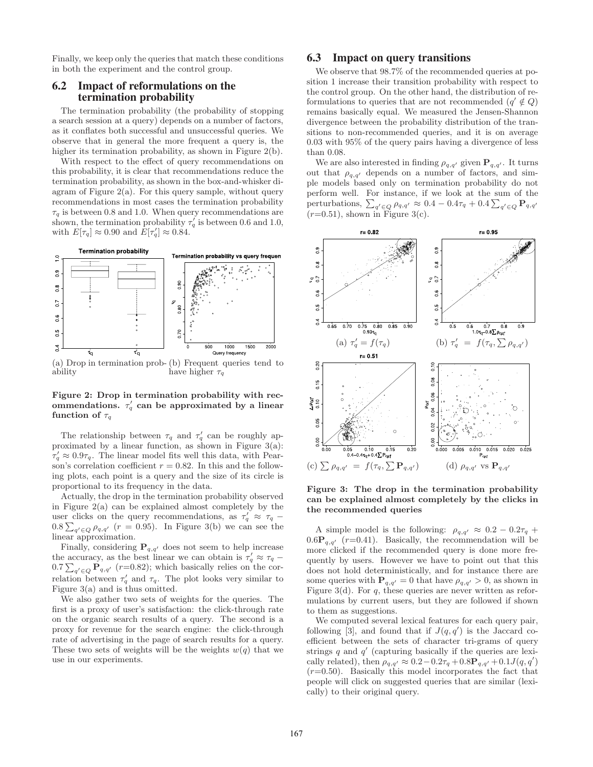Finally, we keep only the queries that match these conditions in both the experiment and the control group.

## **6.2 Impact of reformulations on the termination probability**

The termination probability (the probability of stopping a search session at a query) depends on a number of factors, as it conflates both successful and unsuccessful queries. We observe that in general the more frequent a query is, the higher its termination probability, as shown in Figure 2(b).

With respect to the effect of query recommendations on this probability, it is clear that recommendations reduce the termination probability, as shown in the box-and-whisker diagram of Figure  $2(a)$ . For this query sample, without query recommendations in most cases the termination probability  $\tau_q$  is between 0.8 and 1.0. When query recommendations are shown, the termination probability  $\tau_q'$  is between 0.6 and 1.0, with  $E[\tau_q] \approx 0.90$  and  $E[\tau_q'] \approx 0.84$ .



#### **Figure 2: Drop in termination probability with rec-** $\sigma$ ommendations.  $\tau'_{q}$  can be approximated by a linear **function of**  $\tau_q$

The relationship between  $\tau_q$  and  $\tau'_q$  can be roughly approximated by a linear function, as shown in Figure 3(a):  $\tau'_q \approx 0.9\tau_q$ . The linear model fits well this data, with Pearson's correlation coefficient  $r = 0.82$ . In this and the following plots, each point is a query and the size of its circle is proportional to its frequency in the data.

Actually, the drop in the termination probability observed in Figure 2(a) can be explained almost completely by the user clicks on the query recommendations, as  $\tau'_q \approx \tau_q$  - $0.8\sum_{q' \in Q} \rho_{q,q'}$  ( $r = 0.95$ ). In Figure 3(b) we can see the linear approximation.

Finally, considering  $P_{q,q'}$  does not seem to help increase the accuracy, as the best linear we can obtain is  $\tau'_q \approx \tau_q$  - $0.7\sum_{q'\in Q} \mathbf{P}_{q,q'}$  (r=0.82); which basically relies on the correlation between  $\tau'_q$  and  $\tau_q$ . The plot looks very similar to Figure 3(a) and is thus omitted.

We also gather two sets of weights for the queries. The first is a proxy of user's satisfaction: the click-through rate on the organic search results of a query. The second is a proxy for revenue for the search engine: the click-through rate of advertising in the page of search results for a query. These two sets of weights will be the weights  $w(q)$  that we use in our experiments.

## **6.3 Impact on query transitions**

We observe that  $98.7\%$  of the recommended queries at position 1 increase their transition probability with respect to the control group. On the other hand, the distribution of reformulations to queries that are not recommended  $(q' \notin Q)$ remains basically equal. We measured the Jensen-Shannon divergence between the probability distribution of the transitions to non-recommended queries, and it is on average 0.03 with 95% of the query pairs having a divergence of less than 0.08.

We are also interested in finding  $\rho_{q,q'}$  given  $\mathbf{P}_{q,q'}$ . It turns out that  $\rho_{q,q'}$  depends on a number of factors, and simple models based only on termination probability do not perform well. For instance, if we look at the sum of the perturbations,  $\sum_{q' \in Q} \rho_{q,q'} \approx 0.4 - 0.4\tau_q + 0.4 \sum_{q' \in Q} \mathbf{P}_{q,q'}$  $(r=0.51)$ , shown in Figure 3(c).



**Figure 3: The drop in the termination probability can be explained almost completely by the clicks in the recommended queries**

A simple model is the following:  $\rho_{q,q'} \approx 0.2 - 0.2\tau_q +$  $0.6\mathbf{P}_{q,q'}$  (r=0.41). Basically, the recommendation will be more clicked if the recommended query is done more frequently by users. However we have to point out that this does not hold deterministically, and for instance there are some queries with  $P_{q,q'} = 0$  that have  $\rho_{q,q'} > 0$ , as shown in Figure 3(d). For  $q$ , these queries are never written as reformulations by current users, but they are followed if shown to them as suggestions.

We computed several lexical features for each query pair, following [3], and found that if  $J(q, q')$  is the Jaccard coefficient between the sets of character tri-grams of query strings  $q$  and  $q'$  (capturing basically if the queries are lexically related), then  $\rho_{q,q'} \approx 0.2 - 0.2\tau_q + 0.8\mathbf{P}_{q,q'} + 0.1J(q,q')$  $(r=0.50)$ . Basically this model incorporates the fact that people will click on suggested queries that are similar (lexically) to their original query.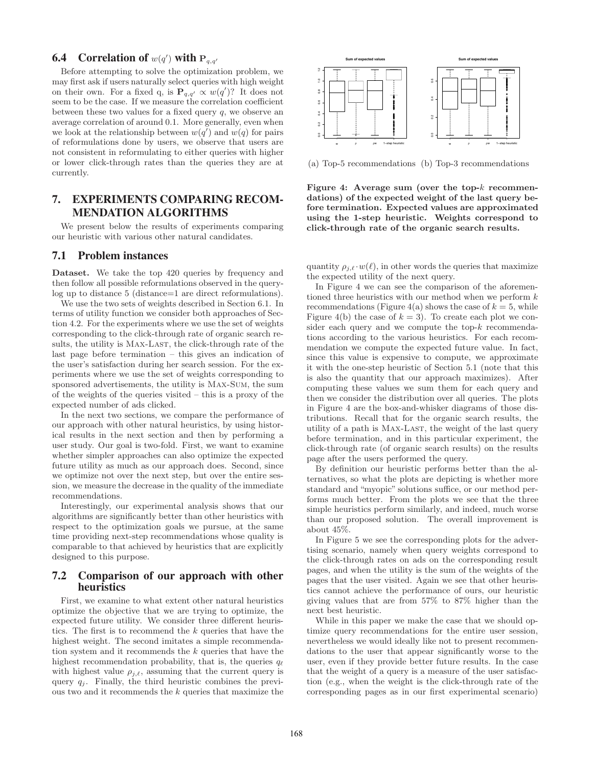# **6.4** Correlation of  $w(q')$  with  $P_{q,q'}$

Before attempting to solve the optimization problem, we may first ask if users naturally select queries with high weight on their own. For a fixed q, is  $P_{q,q'} \propto w(q')$ ? It does not seem to be the case. If we measure the correlation coefficient between these two values for a fixed query  $q$ , we observe an average correlation of around 0.1. More generally, even when we look at the relationship between  $w(q')$  and  $w(q)$  for pairs of reformulations done by users, we observe that users are not consistent in reformulating to either queries with higher or lower click-through rates than the queries they are at currently.

# **7. EXPERIMENTS COMPARING RECOM-MENDATION ALGORITHMS**

We present below the results of experiments comparing our heuristic with various other natural candidates.

## **7.1 Problem instances**

**Dataset.** We take the top 420 queries by frequency and then follow all possible reformulations observed in the querylog up to distance 5 (distance=1 are direct reformulations).

We use the two sets of weights described in Section 6.1. In terms of utility function we consider both approaches of Section 4.2. For the experiments where we use the set of weights corresponding to the click-through rate of organic search results, the utility is MAX-LAST, the click-through rate of the last page before termination – this gives an indication of the user's satisfaction during her search session. For the experiments where we use the set of weights corresponding to sponsored advertisements, the utility is Max-Sum, the sum of the weights of the queries visited – this is a proxy of the expected number of ads clicked.

In the next two sections, we compare the performance of our approach with other natural heuristics, by using historical results in the next section and then by performing a user study. Our goal is two-fold. First, we want to examine whether simpler approaches can also optimize the expected future utility as much as our approach does. Second, since we optimize not over the next step, but over the entire session, we measure the decrease in the quality of the immediate recommendations.

Interestingly, our experimental analysis shows that our algorithms are significantly better than other heuristics with respect to the optimization goals we pursue, at the same time providing next-step recommendations whose quality is comparable to that achieved by heuristics that are explicitly designed to this purpose.

## **7.2 Comparison of our approach with other heuristics**

First, we examine to what extent other natural heuristics optimize the objective that we are trying to optimize, the expected future utility. We consider three different heuristics. The first is to recommend the  $k$  queries that have the highest weight. The second imitates a simple recommendation system and it recommends the k queries that have the highest recommendation probability, that is, the queries  $q_{\ell}$ with highest value  $\rho_{j,\ell}$ , assuming that the current query is query  $q_i$ . Finally, the third heuristic combines the previous two and it recommends the  $k$  queries that maximize the



(a) Top-5 recommendations (b) Top-3 recommendations

**Figure 4: Average sum (over the top-**k **recommendations) of the expected weight of the last query before termination. Expected values are approximated using the 1-step heuristic. Weights correspond to click-through rate of the organic search results.**

quantity  $\rho_{j,\ell} \cdot w(\ell)$ , in other words the queries that maximize the expected utility of the next query.

In Figure 4 we can see the comparison of the aforementioned three heuristics with our method when we perform k recommendations (Figure 4(a) shows the case of  $k = 5$ , while Figure 4(b) the case of  $k = 3$ . To create each plot we consider each query and we compute the top-k recommendations according to the various heuristics. For each recommendation we compute the expected future value. In fact, since this value is expensive to compute, we approximate it with the one-step heuristic of Section 5.1 (note that this is also the quantity that our approach maximizes). After computing these values we sum them for each query and then we consider the distribution over all queries. The plots in Figure 4 are the box-and-whisker diagrams of those distributions. Recall that for the organic search results, the utility of a path is MAX-LAST, the weight of the last query before termination, and in this particular experiment, the click-through rate (of organic search results) on the results page after the users performed the query.

By definition our heuristic performs better than the alternatives, so what the plots are depicting is whether more standard and "myopic" solutions suffice, or our method performs much better. From the plots we see that the three simple heuristics perform similarly, and indeed, much worse than our proposed solution. The overall improvement is about 45%.

In Figure 5 we see the corresponding plots for the advertising scenario, namely when query weights correspond to the click-through rates on ads on the corresponding result pages, and when the utility is the sum of the weights of the pages that the user visited. Again we see that other heuristics cannot achieve the performance of ours, our heuristic giving values that are from 57% to 87% higher than the next best heuristic.

While in this paper we make the case that we should optimize query recommendations for the entire user session, nevertheless we would ideally like not to present recommendations to the user that appear significantly worse to the user, even if they provide better future results. In the case that the weight of a query is a measure of the user satisfaction (e.g., when the weight is the click-through rate of the corresponding pages as in our first experimental scenario)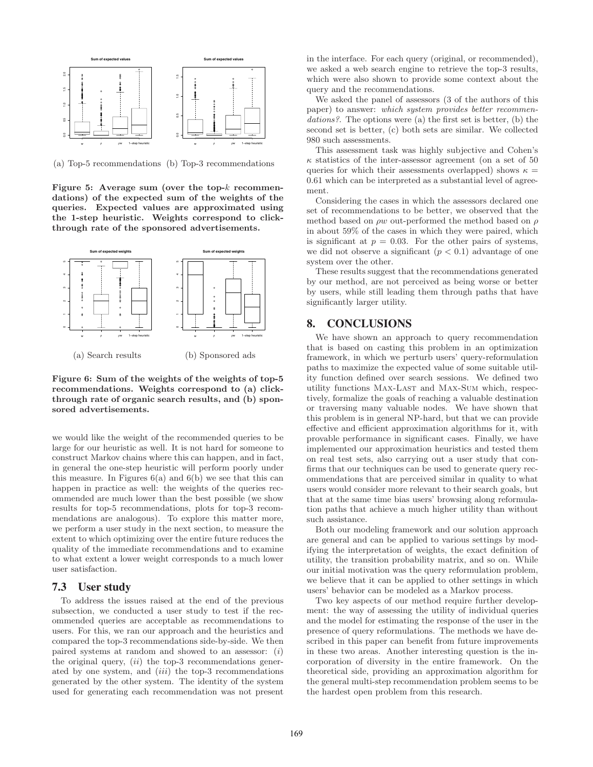

(a) Top-5 recommendations (b) Top-3 recommendations

**Figure 5: Average sum (over the top-**k **recommendations) of the expected sum of the weights of the queries. Expected values are approximated using the 1-step heuristic. Weights correspond to clickthrough rate of the sponsored advertisements.**



**Figure 6: Sum of the weights of the weights of top-5 recommendations. Weights correspond to (a) clickthrough rate of organic search results, and (b) sponsored advertisements.**

we would like the weight of the recommended queries to be large for our heuristic as well. It is not hard for someone to construct Markov chains where this can happen, and in fact, in general the one-step heuristic will perform poorly under this measure. In Figures  $6(a)$  and  $6(b)$  we see that this can happen in practice as well: the weights of the queries recommended are much lower than the best possible (we show results for top-5 recommendations, plots for top-3 recommendations are analogous). To explore this matter more, we perform a user study in the next section, to measure the extent to which optimizing over the entire future reduces the quality of the immediate recommendations and to examine to what extent a lower weight corresponds to a much lower user satisfaction.

#### **7.3 User study**

To address the issues raised at the end of the previous subsection, we conducted a user study to test if the recommended queries are acceptable as recommendations to users. For this, we ran our approach and the heuristics and compared the top-3 recommendations side-by-side. We then paired systems at random and showed to an assessor:  $(i)$ the original query,  $(ii)$  the top-3 recommendations generated by one system, and (iii) the top-3 recommendations generated by the other system. The identity of the system used for generating each recommendation was not present

in the interface. For each query (original, or recommended), we asked a web search engine to retrieve the top-3 results, which were also shown to provide some context about the query and the recommendations.

We asked the panel of assessors (3 of the authors of this paper) to answer: *which system provides better recommendations?*. The options were (a) the first set is better, (b) the second set is better, (c) both sets are similar. We collected 980 such assessments.

This assessment task was highly subjective and Cohen's  $\kappa$  statistics of the inter-assessor agreement (on a set of 50 queries for which their assessments overlapped) shows  $\kappa =$ 0.61 which can be interpreted as a substantial level of agreement.

Considering the cases in which the assessors declared one set of recommendations to be better, we observed that the method based on  $\rho w$  out-performed the method based on  $\rho$ in about 59% of the cases in which they were paired, which is significant at  $p = 0.03$ . For the other pairs of systems, we did not observe a significant  $(p < 0.1)$  advantage of one system over the other.

These results suggest that the recommendations generated by our method, are not perceived as being worse or better by users, while still leading them through paths that have significantly larger utility.

## **8. CONCLUSIONS**

We have shown an approach to query recommendation that is based on casting this problem in an optimization framework, in which we perturb users' query-reformulation paths to maximize the expected value of some suitable utility function defined over search sessions. We defined two utility functions MAX-LAST and MAX-SUM which, respectively, formalize the goals of reaching a valuable destination or traversing many valuable nodes. We have shown that this problem is in general NP-hard, but that we can provide effective and efficient approximation algorithms for it, with provable performance in significant cases. Finally, we have implemented our approximation heuristics and tested them on real test sets, also carrying out a user study that confirms that our techniques can be used to generate query recommendations that are perceived similar in quality to what users would consider more relevant to their search goals, but that at the same time bias users' browsing along reformulation paths that achieve a much higher utility than without such assistance.

Both our modeling framework and our solution approach are general and can be applied to various settings by modifying the interpretation of weights, the exact definition of utility, the transition probability matrix, and so on. While our initial motivation was the query reformulation problem, we believe that it can be applied to other settings in which users' behavior can be modeled as a Markov process.

Two key aspects of our method require further development: the way of assessing the utility of individual queries and the model for estimating the response of the user in the presence of query reformulations. The methods we have described in this paper can benefit from future improvements in these two areas. Another interesting question is the incorporation of diversity in the entire framework. On the theoretical side, providing an approximation algorithm for the general multi-step recommendation problem seems to be the hardest open problem from this research.